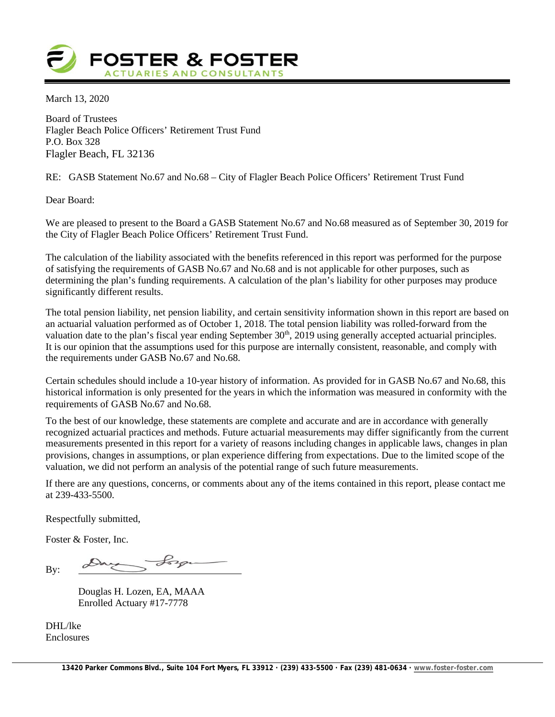

March 13, 2020

Board of Trustees Flagler Beach Police Officers' Retirement Trust Fund P.O. Box 328 Flagler Beach, FL 32136

RE: GASB Statement No.67 and No.68 – City of Flagler Beach Police Officers' Retirement Trust Fund

Dear Board:

We are pleased to present to the Board a GASB Statement No.67 and No.68 measured as of September 30, 2019 for the City of Flagler Beach Police Officers' Retirement Trust Fund.

The calculation of the liability associated with the benefits referenced in this report was performed for the purpose of satisfying the requirements of GASB No.67 and No.68 and is not applicable for other purposes, such as determining the plan's funding requirements. A calculation of the plan's liability for other purposes may produce significantly different results.

The total pension liability, net pension liability, and certain sensitivity information shown in this report are based on an actuarial valuation performed as of October 1, 2018. The total pension liability was rolled-forward from the valuation date to the plan's fiscal year ending September 30<sup>th</sup>, 2019 using generally accepted actuarial principles. It is our opinion that the assumptions used for this purpose are internally consistent, reasonable, and comply with the requirements under GASB No.67 and No.68.

Certain schedules should include a 10-year history of information. As provided for in GASB No.67 and No.68, this historical information is only presented for the years in which the information was measured in conformity with the requirements of GASB No.67 and No.68.

To the best of our knowledge, these statements are complete and accurate and are in accordance with generally recognized actuarial practices and methods. Future actuarial measurements may differ significantly from the current measurements presented in this report for a variety of reasons including changes in applicable laws, changes in plan provisions, changes in assumptions, or plan experience differing from expectations. Due to the limited scope of the valuation, we did not perform an analysis of the potential range of such future measurements.

If there are any questions, concerns, or comments about any of the items contained in this report, please contact me at 239-433-5500.

Respectfully submitted,

Foster & Foster, Inc.

day Lorge By:

Douglas H. Lozen, EA, MAAA Enrolled Actuary #17-7778

DHL/lke Enclosures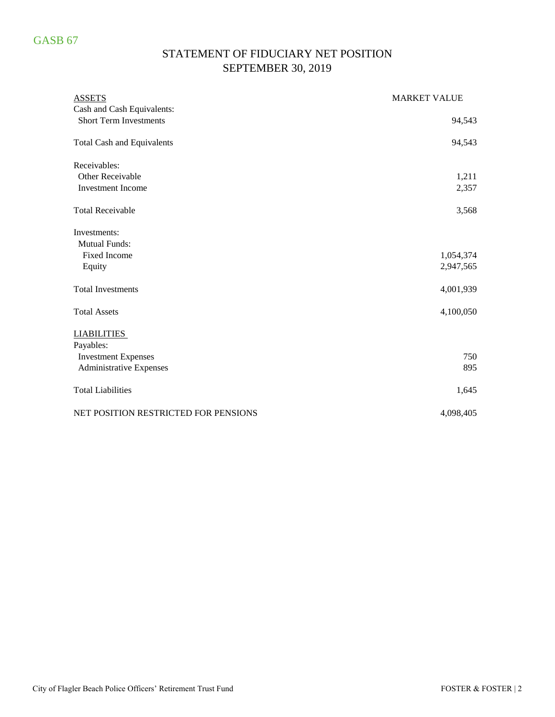# GASB 67

# STATEMENT OF FIDUCIARY NET POSITION SEPTEMBER 30, 2019

| <b>ASSETS</b>                        | <b>MARKET VALUE</b> |
|--------------------------------------|---------------------|
| Cash and Cash Equivalents:           |                     |
| <b>Short Term Investments</b>        | 94,543              |
| <b>Total Cash and Equivalents</b>    | 94,543              |
| Receivables:                         |                     |
| Other Receivable                     | 1,211               |
| <b>Investment Income</b>             | 2,357               |
| <b>Total Receivable</b>              | 3,568               |
| Investments:                         |                     |
| <b>Mutual Funds:</b>                 |                     |
| <b>Fixed Income</b>                  | 1,054,374           |
| Equity                               | 2,947,565           |
| <b>Total Investments</b>             | 4,001,939           |
| <b>Total Assets</b>                  | 4,100,050           |
| <b>LIABILITIES</b>                   |                     |
| Payables:                            |                     |
| <b>Investment Expenses</b>           | 750                 |
| <b>Administrative Expenses</b>       | 895                 |
| <b>Total Liabilities</b>             | 1,645               |
| NET POSITION RESTRICTED FOR PENSIONS | 4,098,405           |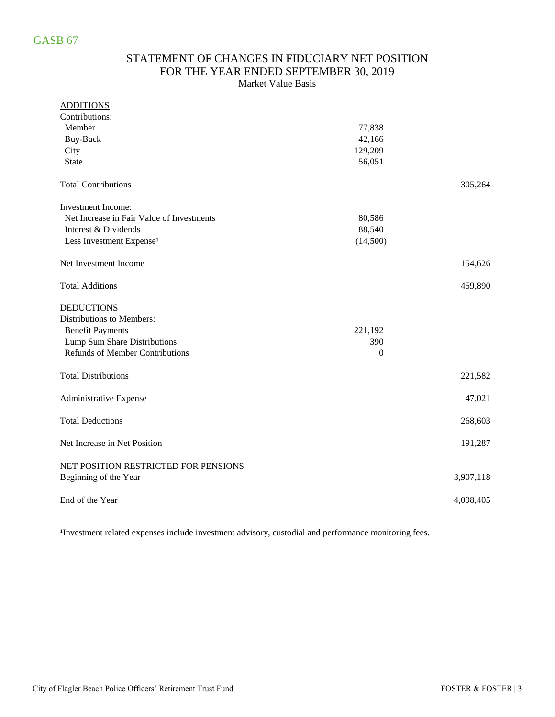### STATEMENT OF CHANGES IN FIDUCIARY NET POSITION FOR THE YEAR ENDED SEPTEMBER 30, 2019 Market Value Basis

#### ADDITIONS

| Contributions:                            |                  |           |
|-------------------------------------------|------------------|-----------|
| Member                                    | 77,838           |           |
| Buy-Back                                  | 42,166           |           |
| City                                      | 129,209          |           |
| <b>State</b>                              | 56,051           |           |
| <b>Total Contributions</b>                |                  | 305,264   |
| <b>Investment Income:</b>                 |                  |           |
| Net Increase in Fair Value of Investments | 80,586           |           |
| Interest & Dividends                      | 88,540           |           |
| Less Investment Expense <sup>1</sup>      | (14,500)         |           |
| Net Investment Income                     |                  | 154,626   |
| <b>Total Additions</b>                    |                  | 459,890   |
| <b>DEDUCTIONS</b>                         |                  |           |
| Distributions to Members:                 |                  |           |
| <b>Benefit Payments</b>                   | 221,192          |           |
| Lump Sum Share Distributions              | 390              |           |
| <b>Refunds of Member Contributions</b>    | $\boldsymbol{0}$ |           |
| <b>Total Distributions</b>                |                  | 221,582   |
| Administrative Expense                    |                  | 47,021    |
| <b>Total Deductions</b>                   |                  | 268,603   |
| Net Increase in Net Position              |                  | 191,287   |
| NET POSITION RESTRICTED FOR PENSIONS      |                  |           |
| Beginning of the Year                     |                  | 3,907,118 |
| End of the Year                           |                  | 4,098,405 |

<sup>1</sup>Investment related expenses include investment advisory, custodial and performance monitoring fees.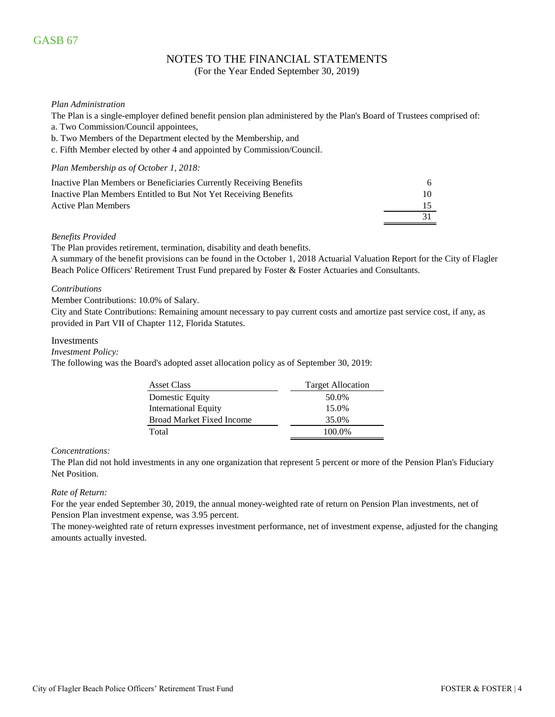# GASB 67

# NOTES TO THE FINANCIAL STATEMENTS

(For the Year Ended September 30, 2019)

#### *Plan Administration*

The Plan is a single-employer defined benefit pension plan administered by the Plan's Board of Trustees comprised of:

- a. Two Commission/Council appointees,
- b. Two Members of the Department elected by the Membership, and
- c. Fifth Member elected by other 4 and appointed by Commission/Council.

#### *Plan Membership as of October 1, 2018:*

| Inactive Plan Members or Beneficiaries Currently Receiving Benefits | 6.  |
|---------------------------------------------------------------------|-----|
| Inactive Plan Members Entitled to But Not Yet Receiving Benefits    | 10. |
| Active Plan Members                                                 |     |
|                                                                     |     |

#### *Benefits Provided*

The Plan provides retirement, termination, disability and death benefits.

A summary of the benefit provisions can be found in the October 1, 2018 Actuarial Valuation Report for the City of Flagler Beach Police Officers' Retirement Trust Fund prepared by Foster & Foster Actuaries and Consultants.

#### *Contributions*

Member Contributions: 10.0% of Salary.

City and State Contributions: Remaining amount necessary to pay current costs and amortize past service cost, if any, as provided in Part VII of Chapter 112, Florida Statutes.

#### Investments

*Investment Policy:*

The following was the Board's adopted asset allocation policy as of September 30, 2019:

| <b>Asset Class</b>               | <b>Target Allocation</b> |
|----------------------------------|--------------------------|
| Domestic Equity                  | 50.0%                    |
| <b>International Equity</b>      | 15.0%                    |
| <b>Broad Market Fixed Income</b> | 35.0%                    |
| Total                            | 100.0%                   |

#### *Concentrations:*

The Plan did not hold investments in any one organization that represent 5 percent or more of the Pension Plan's Fiduciary Net Position.

#### *Rate of Return:*

For the year ended September 30, 2019, the annual money-weighted rate of return on Pension Plan investments, net of Pension Plan investment expense, was 3.95 percent.

The money-weighted rate of return expresses investment performance, net of investment expense, adjusted for the changing amounts actually invested.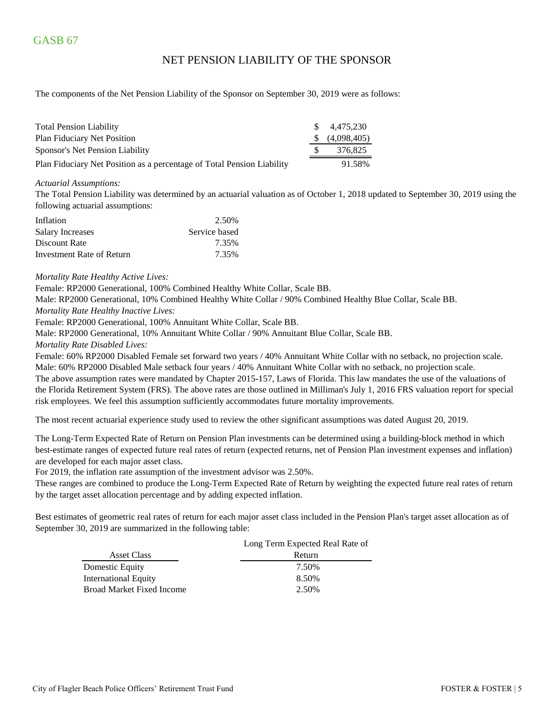## NET PENSION LIABILITY OF THE SPONSOR

The components of the Net Pension Liability of the Sponsor on September 30, 2019 were as follows:

| <b>Total Pension Liability</b>                                         | \$ 4.475.230              |
|------------------------------------------------------------------------|---------------------------|
| Plan Fiduciary Net Position                                            | $\frac{1}{2}$ (4,098,405) |
| Sponsor's Net Pension Liability                                        | 376.825                   |
| Plan Fiduciary Net Position as a percentage of Total Pension Liability | 91.58%                    |

#### *Actuarial Assumptions:*

The Total Pension Liability was determined by an actuarial valuation as of October 1, 2018 updated to September 30, 2019 using the following actuarial assumptions:

| Inflation                 | 2.50%         |
|---------------------------|---------------|
| <b>Salary Increases</b>   | Service based |
| Discount Rate             | 7.35%         |
| Investment Rate of Return | 7.35%         |

#### *Mortality Rate Healthy Active Lives:*

Female: RP2000 Generational, 100% Combined Healthy White Collar, Scale BB.

Male: RP2000 Generational, 10% Combined Healthy White Collar / 90% Combined Healthy Blue Collar, Scale BB.

*Mortality Rate Healthy Inactive Lives:*

Female: RP2000 Generational, 100% Annuitant White Collar, Scale BB.

Male: RP2000 Generational, 10% Annuitant White Collar / 90% Annuitant Blue Collar, Scale BB.

#### *Mortality Rate Disabled Lives:*

Female: 60% RP2000 Disabled Female set forward two years / 40% Annuitant White Collar with no setback, no projection scale. Male: 60% RP2000 Disabled Male setback four years / 40% Annuitant White Collar with no setback, no projection scale. The above assumption rates were mandated by Chapter 2015-157, Laws of Florida. This law mandates the use of the valuations of the Florida Retirement System (FRS). The above rates are those outlined in Milliman's July 1, 2016 FRS valuation report for special risk employees. We feel this assumption sufficiently accommodates future mortality improvements.

The most recent actuarial experience study used to review the other significant assumptions was dated August 20, 2019.

The Long-Term Expected Rate of Return on Pension Plan investments can be determined using a building-block method in which best-estimate ranges of expected future real rates of return (expected returns, net of Pension Plan investment expenses and inflation) are developed for each major asset class.

For 2019, the inflation rate assumption of the investment advisor was 2.50%.

These ranges are combined to produce the Long-Term Expected Rate of Return by weighting the expected future real rates of return by the target asset allocation percentage and by adding expected inflation.

Best estimates of geometric real rates of return for each major asset class included in the Pension Plan's target asset allocation as of September 30, 2019 are summarized in the following table:

|                                  | Long Term Expected Real Rate of |
|----------------------------------|---------------------------------|
| <b>Asset Class</b>               | Return                          |
| Domestic Equity                  | 7.50%                           |
| <b>International Equity</b>      | 8.50%                           |
| <b>Broad Market Fixed Income</b> | 2.50%                           |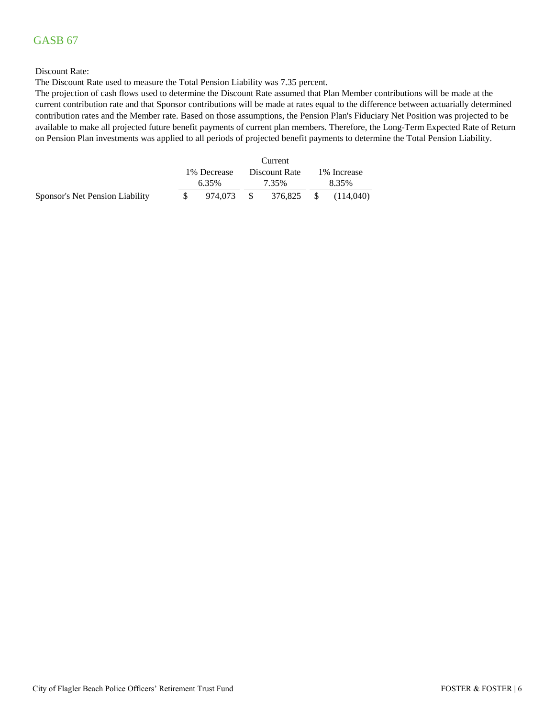# GASB 67

#### Discount Rate:

The Discount Rate used to measure the Total Pension Liability was 7.35 percent.

The projection of cash flows used to determine the Discount Rate assumed that Plan Member contributions will be made at the current contribution rate and that Sponsor contributions will be made at rates equal to the difference between actuarially determined contribution rates and the Member rate. Based on those assumptions, the Pension Plan's Fiduciary Net Position was projected to be available to make all projected future benefit payments of current plan members. Therefore, the Long-Term Expected Rate of Return on Pension Plan investments was applied to all periods of projected benefit payments to determine the Total Pension Liability.

|                                 |              |            |  | Current       |              |           |  |
|---------------------------------|--------------|------------|--|---------------|--------------|-----------|--|
|                                 | 1\% Decrease |            |  | Discount Rate | 1\% Increase |           |  |
|                                 |              | 6.35%      |  | 7.35%         | 8.35%        |           |  |
| Sponsor's Net Pension Liability |              | 974.073 \$ |  | 376,825 \$    |              | (114.040) |  |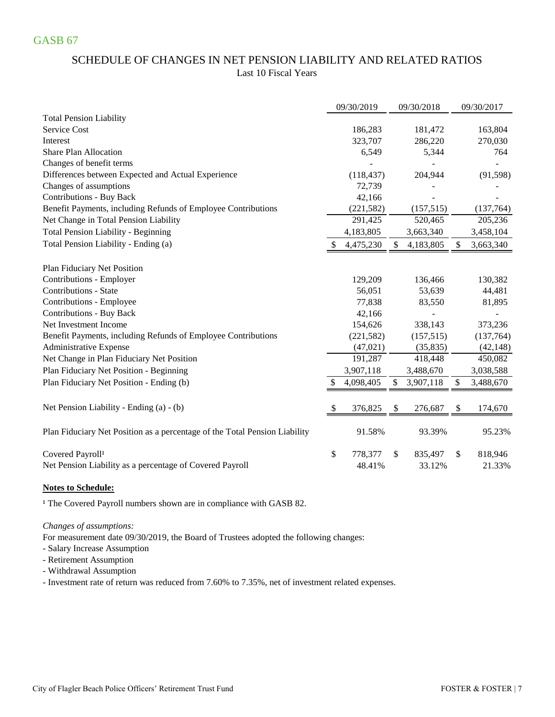# SCHEDULE OF CHANGES IN NET PENSION LIABILITY AND RELATED RATIOS Last 10 Fiscal Years

|                                                                            |    | 09/30/2019 | 09/30/2018      | 09/30/2017      |
|----------------------------------------------------------------------------|----|------------|-----------------|-----------------|
| <b>Total Pension Liability</b>                                             |    |            |                 |                 |
| Service Cost                                                               |    | 186,283    | 181,472         | 163,804         |
| Interest                                                                   |    | 323,707    | 286,220         | 270,030         |
| <b>Share Plan Allocation</b>                                               |    | 6,549      | 5,344           | 764             |
| Changes of benefit terms                                                   |    |            |                 |                 |
| Differences between Expected and Actual Experience                         |    | (118, 437) | 204,944         | (91, 598)       |
| Changes of assumptions                                                     |    | 72,739     |                 |                 |
| <b>Contributions - Buy Back</b>                                            |    | 42,166     |                 |                 |
| Benefit Payments, including Refunds of Employee Contributions              |    | (221, 582) | (157, 515)      | (137,764)       |
| Net Change in Total Pension Liability                                      |    | 291,425    | 520,465         | 205,236         |
| <b>Total Pension Liability - Beginning</b>                                 |    | 4,183,805  | 3,663,340       | 3,458,104       |
| Total Pension Liability - Ending (a)                                       | S  | 4,475,230  | \$<br>4,183,805 | \$<br>3,663,340 |
| Plan Fiduciary Net Position                                                |    |            |                 |                 |
| Contributions - Employer                                                   |    | 129,209    | 136,466         | 130,382         |
| <b>Contributions - State</b>                                               |    | 56,051     | 53,639          | 44,481          |
| Contributions - Employee                                                   |    | 77,838     | 83,550          | 81,895          |
| <b>Contributions - Buy Back</b>                                            |    | 42,166     |                 |                 |
| Net Investment Income                                                      |    | 154,626    | 338,143         | 373,236         |
| Benefit Payments, including Refunds of Employee Contributions              |    | (221, 582) | (157, 515)      | (137,764)       |
| Administrative Expense                                                     |    | (47, 021)  | (35, 835)       | (42, 148)       |
| Net Change in Plan Fiduciary Net Position                                  |    | 191,287    | 418,448         | 450,082         |
| Plan Fiduciary Net Position - Beginning                                    |    | 3,907,118  | 3,488,670       | 3,038,588       |
| Plan Fiduciary Net Position - Ending (b)                                   |    | 4,098,405  | \$<br>3,907,118 | \$<br>3,488,670 |
|                                                                            |    |            |                 |                 |
| Net Pension Liability - Ending (a) - (b)                                   | S  | 376,825    | \$<br>276,687   | \$<br>174,670   |
| Plan Fiduciary Net Position as a percentage of the Total Pension Liability |    | 91.58%     | 93.39%          | 95.23%          |
| Covered Payroll <sup>1</sup>                                               | \$ | 778,377    | \$<br>835,497   | \$<br>818,946   |
| Net Pension Liability as a percentage of Covered Payroll                   |    | 48.41%     | 33.12%          | 21.33%          |

### **Notes to Schedule:**

<sup>1</sup> The Covered Payroll numbers shown are in compliance with GASB 82.

### *Changes of assumptions:*

For measurement date 09/30/2019, the Board of Trustees adopted the following changes:

- Salary Increase Assumption

- Retirement Assumption

- Withdrawal Assumption

- Investment rate of return was reduced from 7.60% to 7.35%, net of investment related expenses.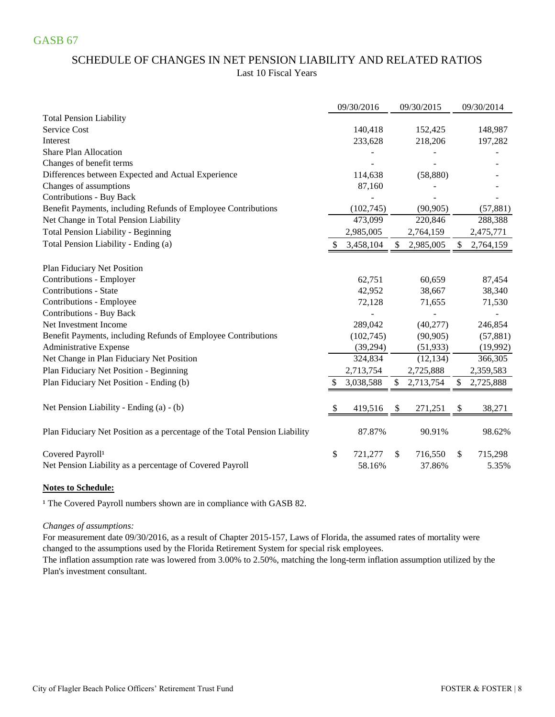# SCHEDULE OF CHANGES IN NET PENSION LIABILITY AND RELATED RATIOS Last 10 Fiscal Years

|                                                                            | 09/30/2016    | 09/30/2015      | 09/30/2014      |
|----------------------------------------------------------------------------|---------------|-----------------|-----------------|
| <b>Total Pension Liability</b>                                             |               |                 |                 |
| <b>Service Cost</b>                                                        | 140,418       | 152,425         | 148,987         |
| Interest                                                                   | 233,628       | 218,206         | 197,282         |
| <b>Share Plan Allocation</b>                                               |               |                 |                 |
| Changes of benefit terms                                                   |               |                 |                 |
| Differences between Expected and Actual Experience                         | 114,638       | (58, 880)       |                 |
| Changes of assumptions                                                     | 87,160        |                 |                 |
| <b>Contributions - Buy Back</b>                                            |               |                 |                 |
| Benefit Payments, including Refunds of Employee Contributions              | (102, 745)    | (90, 905)       | (57, 881)       |
| Net Change in Total Pension Liability                                      | 473,099       | 220,846         | 288,388         |
| <b>Total Pension Liability - Beginning</b>                                 | 2,985,005     | 2,764,159       | 2,475,771       |
| Total Pension Liability - Ending (a)                                       | 3,458,104     | \$<br>2,985,005 | \$<br>2,764,159 |
| Plan Fiduciary Net Position                                                |               |                 |                 |
| Contributions - Employer                                                   | 62,751        | 60,659          | 87,454          |
| <b>Contributions - State</b>                                               | 42,952        | 38,667          | 38,340          |
| Contributions - Employee                                                   | 72,128        | 71,655          | 71,530          |
| <b>Contributions - Buy Back</b>                                            |               |                 |                 |
| Net Investment Income                                                      | 289,042       | (40,277)        | 246,854         |
| Benefit Payments, including Refunds of Employee Contributions              | (102,745)     | (90, 905)       | (57, 881)       |
| <b>Administrative Expense</b>                                              | (39,294)      | (51, 933)       | (19,992)        |
| Net Change in Plan Fiduciary Net Position                                  | 324,834       | (12, 134)       | 366,305         |
| Plan Fiduciary Net Position - Beginning                                    | 2,713,754     | 2,725,888       | 2,359,583       |
| Plan Fiduciary Net Position - Ending (b)                                   | 3,038,588     | \$<br>2,713,754 | \$<br>2,725,888 |
| Net Pension Liability - Ending (a) - (b)                                   | \$<br>419,516 | \$<br>271,251   | \$<br>38,271    |
|                                                                            |               |                 |                 |
| Plan Fiduciary Net Position as a percentage of the Total Pension Liability | 87.87%        | 90.91%          | 98.62%          |
| Covered Payroll <sup>1</sup>                                               | \$<br>721,277 | \$<br>716,550   | \$<br>715,298   |
| Net Pension Liability as a percentage of Covered Payroll                   | 58.16%        | 37.86%          | 5.35%           |

### **Notes to Schedule:**

<sup>1</sup> The Covered Payroll numbers shown are in compliance with GASB 82.

### *Changes of assumptions:*

changed to the assumptions used by the Florida Retirement System for special risk employees. For measurement date 09/30/2016, as a result of Chapter 2015-157, Laws of Florida, the assumed rates of mortality were

Plan's investment consultant. The inflation assumption rate was lowered from 3.00% to 2.50%, matching the long-term inflation assumption utilized by the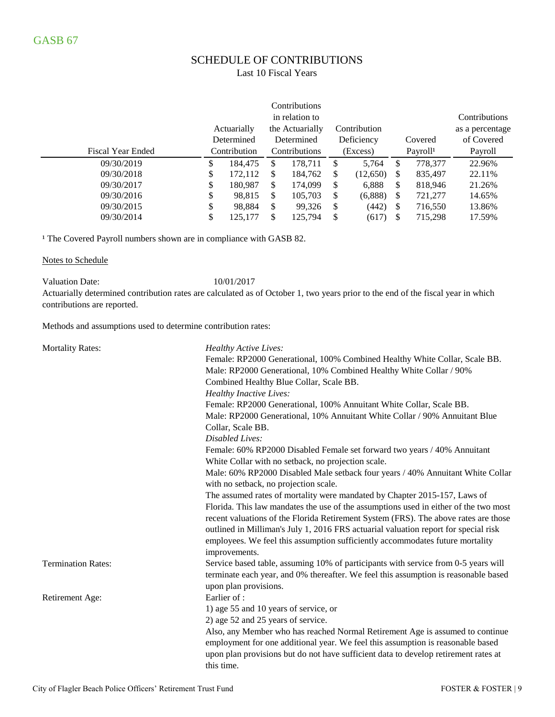# SCHEDULE OF CONTRIBUTIONS

### Last 10 Fiscal Years

|                          |              |                                                |    | Contributions  |    |            |               |                 |               |  |  |  |  |          |  |                      |         |
|--------------------------|--------------|------------------------------------------------|----|----------------|----|------------|---------------|-----------------|---------------|--|--|--|--|----------|--|----------------------|---------|
|                          |              |                                                |    | in relation to |    |            |               |                 | Contributions |  |  |  |  |          |  |                      |         |
|                          |              | Actuarially<br>the Actuarially<br>Contribution |    |                |    |            |               | as a percentage |               |  |  |  |  |          |  |                      |         |
|                          |              | Determined                                     |    | Determined     |    | Deficiency |               | Covered         | of Covered    |  |  |  |  |          |  |                      |         |
| <b>Fiscal Year Ended</b> | Contribution |                                                |    |                |    |            | Contributions |                 |               |  |  |  |  | (Excess) |  | Payroll <sup>1</sup> | Payroll |
| 09/30/2019               | \$           | 184.475                                        | \$ | 178.711        | \$ | 5,764      | \$            | 778,377         | 22.96%        |  |  |  |  |          |  |                      |         |
| 09/30/2018               | \$           | 172,112                                        | S  | 184,762        | \$ | (12,650)   | S             | 835,497         | 22.11\%       |  |  |  |  |          |  |                      |         |
| 09/30/2017               | \$           | 180,987                                        | \$ | 174,099        | \$ | 6,888      | \$            | 818,946         | 21.26%        |  |  |  |  |          |  |                      |         |
| 09/30/2016               | \$           | 98,815                                         | S  | 105,703        | \$ | (6,888)    | S             | 721,277         | 14.65%        |  |  |  |  |          |  |                      |         |
| 09/30/2015               | \$           | 98,884                                         | \$ | 99,326         | \$ | (442)      | S             | 716,550         | 13.86%        |  |  |  |  |          |  |                      |         |
| 09/30/2014               | \$           | 125,177                                        | \$ | 125,794        | \$ | (617)      | S             | 715.298         | 17.59%        |  |  |  |  |          |  |                      |         |

<sup>1</sup> The Covered Payroll numbers shown are in compliance with GASB 82.

#### Notes to Schedule

Valuation Date: 10/01/2017

Actuarially determined contribution rates are calculated as of October 1, two years prior to the end of the fiscal year in which contributions are reported.

Methods and assumptions used to determine contribution rates:

| <b>Mortality Rates:</b>   | <b>Healthy Active Lives:</b>                                                                                                   |
|---------------------------|--------------------------------------------------------------------------------------------------------------------------------|
|                           | Female: RP2000 Generational, 100% Combined Healthy White Collar, Scale BB.                                                     |
|                           | Male: RP2000 Generational, 10% Combined Healthy White Collar / 90%                                                             |
|                           | Combined Healthy Blue Collar, Scale BB.                                                                                        |
|                           | <b>Healthy Inactive Lives:</b>                                                                                                 |
|                           | Female: RP2000 Generational, 100% Annuitant White Collar, Scale BB.                                                            |
|                           | Male: RP2000 Generational, 10% Annuitant White Collar / 90% Annuitant Blue                                                     |
|                           | Collar, Scale BB.                                                                                                              |
|                           | Disabled Lives:                                                                                                                |
|                           |                                                                                                                                |
|                           | Female: 60% RP2000 Disabled Female set forward two years / 40% Annuitant<br>White Collar with no setback, no projection scale. |
|                           | Male: 60% RP2000 Disabled Male setback four years / 40% Annuitant White Collar                                                 |
|                           | with no setback, no projection scale.                                                                                          |
|                           | The assumed rates of mortality were mandated by Chapter 2015-157, Laws of                                                      |
|                           | Florida. This law mandates the use of the assumptions used in either of the two most                                           |
|                           | recent valuations of the Florida Retirement System (FRS). The above rates are those                                            |
|                           | outlined in Milliman's July 1, 2016 FRS actuarial valuation report for special risk                                            |
|                           | employees. We feel this assumption sufficiently accommodates future mortality                                                  |
|                           | improvements.                                                                                                                  |
| <b>Termination Rates:</b> | Service based table, assuming 10% of participants with service from 0-5 years will                                             |
|                           | terminate each year, and 0% thereafter. We feel this assumption is reasonable based<br>upon plan provisions.                   |
| Retirement Age:           | Earlier of:                                                                                                                    |
|                           | 1) age 55 and 10 years of service, or                                                                                          |
|                           | 2) age 52 and 25 years of service.                                                                                             |
|                           | Also, any Member who has reached Normal Retirement Age is assumed to continue                                                  |
|                           | employment for one additional year. We feel this assumption is reasonable based                                                |
|                           | upon plan provisions but do not have sufficient data to develop retirement rates at                                            |
|                           | this time.                                                                                                                     |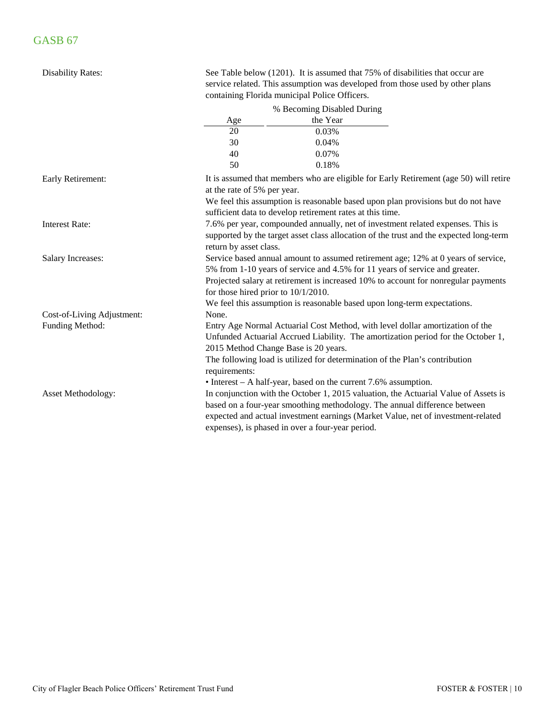| <b>Disability Rates:</b>   |                                        | See Table below (1201). It is assumed that 75% of disabilities that occur are<br>service related. This assumption was developed from those used by other plans<br>containing Florida municipal Police Officers.                                                                                                                    |  |
|----------------------------|----------------------------------------|------------------------------------------------------------------------------------------------------------------------------------------------------------------------------------------------------------------------------------------------------------------------------------------------------------------------------------|--|
|                            |                                        | % Becoming Disabled During                                                                                                                                                                                                                                                                                                         |  |
|                            | Age                                    | the Year                                                                                                                                                                                                                                                                                                                           |  |
|                            | 20                                     | 0.03%                                                                                                                                                                                                                                                                                                                              |  |
|                            | 30                                     | 0.04%                                                                                                                                                                                                                                                                                                                              |  |
|                            | 40                                     | 0.07%                                                                                                                                                                                                                                                                                                                              |  |
|                            | 50                                     | 0.18%                                                                                                                                                                                                                                                                                                                              |  |
| Early Retirement:          | at the rate of 5% per year.            | It is assumed that members who are eligible for Early Retirement (age 50) will retire<br>We feel this assumption is reasonable based upon plan provisions but do not have                                                                                                                                                          |  |
|                            |                                        | sufficient data to develop retirement rates at this time.                                                                                                                                                                                                                                                                          |  |
| <b>Interest Rate:</b>      | return by asset class.                 | 7.6% per year, compounded annually, net of investment related expenses. This is<br>supported by the target asset class allocation of the trust and the expected long-term                                                                                                                                                          |  |
| <b>Salary Increases:</b>   | for those hired prior to $10/1/2010$ . | Service based annual amount to assumed retirement age; 12% at 0 years of service,<br>5% from 1-10 years of service and 4.5% for 11 years of service and greater.<br>Projected salary at retirement is increased 10% to account for nonregular payments<br>We feel this assumption is reasonable based upon long-term expectations. |  |
| Cost-of-Living Adjustment: | None.                                  |                                                                                                                                                                                                                                                                                                                                    |  |
| Funding Method:            | 2015 Method Change Base is 20 years.   | Entry Age Normal Actuarial Cost Method, with level dollar amortization of the<br>Unfunded Actuarial Accrued Liability. The amortization period for the October 1,<br>The following load is utilized for determination of the Plan's contribution                                                                                   |  |
|                            | requirements:                          | $\bullet$ Interest – A half-year, based on the current 7.6% assumption.                                                                                                                                                                                                                                                            |  |
| Asset Methodology:         |                                        | In conjunction with the October 1, 2015 valuation, the Actuarial Value of Assets is<br>based on a four-year smoothing methodology. The annual difference between<br>expected and actual investment earnings (Market Value, net of investment-related<br>expenses), is phased in over a four-year period.                           |  |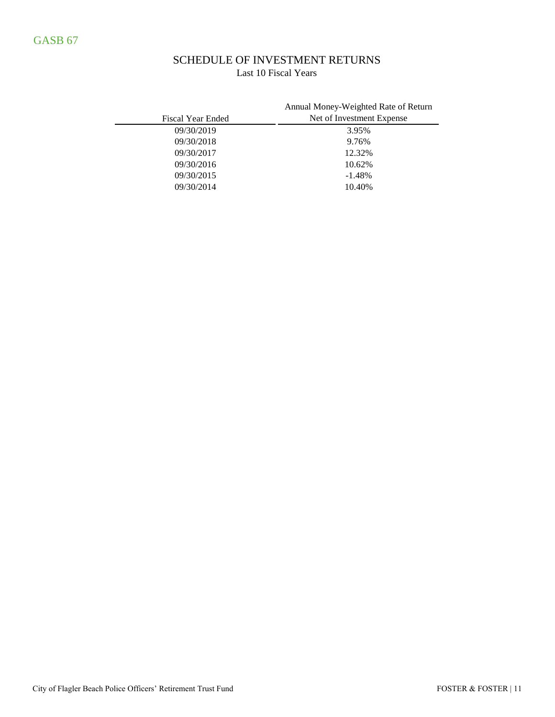# SCHEDULE OF INVESTMENT RETURNS Last 10 Fiscal Years

|                          | Annual Money-Weighted Rate of Return |
|--------------------------|--------------------------------------|
| <b>Fiscal Year Ended</b> | Net of Investment Expense            |
| 09/30/2019               | 3.95%                                |
| 09/30/2018               | 9.76%                                |
| 09/30/2017               | 12.32%                               |
| 09/30/2016               | 10.62%                               |
| 09/30/2015               | $-1.48%$                             |
| 09/30/2014               | 10.40%                               |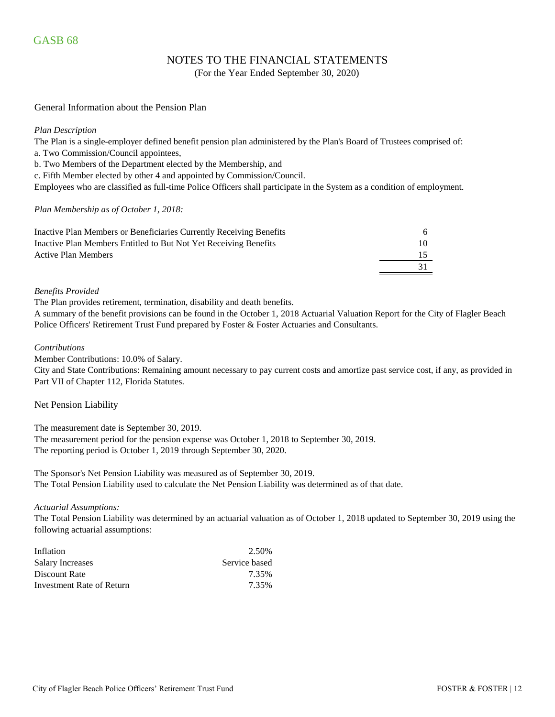## NOTES TO THE FINANCIAL STATEMENTS

(For the Year Ended September 30, 2020)

#### General Information about the Pension Plan

#### *Plan Description*

The Plan is a single-employer defined benefit pension plan administered by the Plan's Board of Trustees comprised of:

a. Two Commission/Council appointees,

b. Two Members of the Department elected by the Membership, and

c. Fifth Member elected by other 4 and appointed by Commission/Council.

Employees who are classified as full-time Police Officers shall participate in the System as a condition of employment.

#### *Plan Membership as of October 1, 2018:*

| Inactive Plan Members or Beneficiaries Currently Receiving Benefits |  |
|---------------------------------------------------------------------|--|
| Inactive Plan Members Entitled to But Not Yet Receiving Benefits    |  |
| Active Plan Members                                                 |  |
|                                                                     |  |

#### *Benefits Provided*

The Plan provides retirement, termination, disability and death benefits.

A summary of the benefit provisions can be found in the October 1, 2018 Actuarial Valuation Report for the City of Flagler Beach Police Officers' Retirement Trust Fund prepared by Foster & Foster Actuaries and Consultants.

#### *Contributions*

Member Contributions: 10.0% of Salary.

City and State Contributions: Remaining amount necessary to pay current costs and amortize past service cost, if any, as provided in Part VII of Chapter 112, Florida Statutes.

#### Net Pension Liability

The measurement date is September 30, 2019.

The measurement period for the pension expense was October 1, 2018 to September 30, 2019. The reporting period is October 1, 2019 through September 30, 2020.

The Sponsor's Net Pension Liability was measured as of September 30, 2019. The Total Pension Liability used to calculate the Net Pension Liability was determined as of that date.

#### *Actuarial Assumptions:*

The Total Pension Liability was determined by an actuarial valuation as of October 1, 2018 updated to September 30, 2019 using the following actuarial assumptions:

| Inflation                 | 2.50%         |
|---------------------------|---------------|
| <b>Salary Increases</b>   | Service based |
| Discount Rate             | 7.35%         |
| Investment Rate of Return | 7.35%         |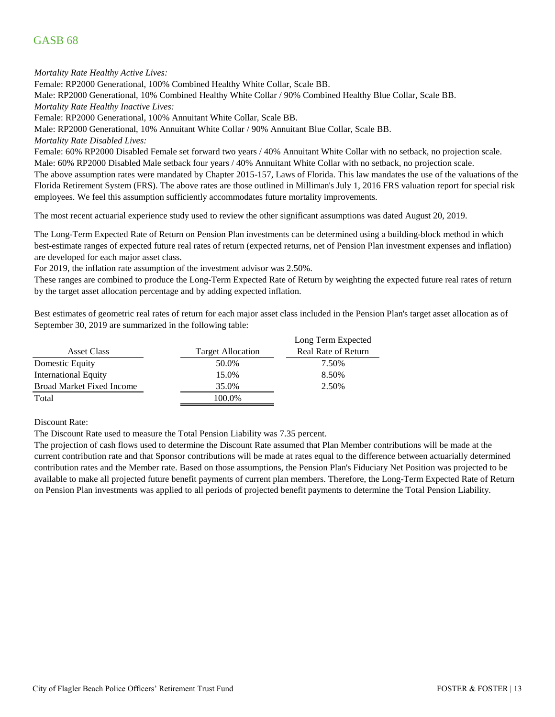# GASB 68

*Mortality Rate Healthy Active Lives:*

Female: RP2000 Generational, 100% Combined Healthy White Collar, Scale BB.

Male: RP2000 Generational, 10% Combined Healthy White Collar / 90% Combined Healthy Blue Collar, Scale BB.

*Mortality Rate Healthy Inactive Lives:*

Female: RP2000 Generational, 100% Annuitant White Collar, Scale BB.

Male: RP2000 Generational, 10% Annuitant White Collar / 90% Annuitant Blue Collar, Scale BB.

*Mortality Rate Disabled Lives:*

Female: 60% RP2000 Disabled Female set forward two years / 40% Annuitant White Collar with no setback, no projection scale. Male: 60% RP2000 Disabled Male setback four years / 40% Annuitant White Collar with no setback, no projection scale.

The above assumption rates were mandated by Chapter 2015-157, Laws of Florida. This law mandates the use of the valuations of the Florida Retirement System (FRS). The above rates are those outlined in Milliman's July 1, 2016 FRS valuation report for special risk employees. We feel this assumption sufficiently accommodates future mortality improvements.

The most recent actuarial experience study used to review the other significant assumptions was dated August 20, 2019.

The Long-Term Expected Rate of Return on Pension Plan investments can be determined using a building-block method in which best-estimate ranges of expected future real rates of return (expected returns, net of Pension Plan investment expenses and inflation) are developed for each major asset class.

For 2019, the inflation rate assumption of the investment advisor was 2.50%.

These ranges are combined to produce the Long-Term Expected Rate of Return by weighting the expected future real rates of return by the target asset allocation percentage and by adding expected inflation.

Best estimates of geometric real rates of return for each major asset class included in the Pension Plan's target asset allocation as of September 30, 2019 are summarized in the following table:

|                                  |                          | Long Term Expected         |
|----------------------------------|--------------------------|----------------------------|
| Asset Class                      | <b>Target Allocation</b> | <b>Real Rate of Return</b> |
| Domestic Equity                  | 50.0%                    | 7.50%                      |
| <b>International Equity</b>      | 15.0%                    | 8.50%                      |
| <b>Broad Market Fixed Income</b> | 35.0%                    | 2.50%                      |
| Total                            | 100.0%                   |                            |

Discount Rate:

The Discount Rate used to measure the Total Pension Liability was 7.35 percent.

The projection of cash flows used to determine the Discount Rate assumed that Plan Member contributions will be made at the current contribution rate and that Sponsor contributions will be made at rates equal to the difference between actuarially determined contribution rates and the Member rate. Based on those assumptions, the Pension Plan's Fiduciary Net Position was projected to be available to make all projected future benefit payments of current plan members. Therefore, the Long-Term Expected Rate of Return on Pension Plan investments was applied to all periods of projected benefit payments to determine the Total Pension Liability.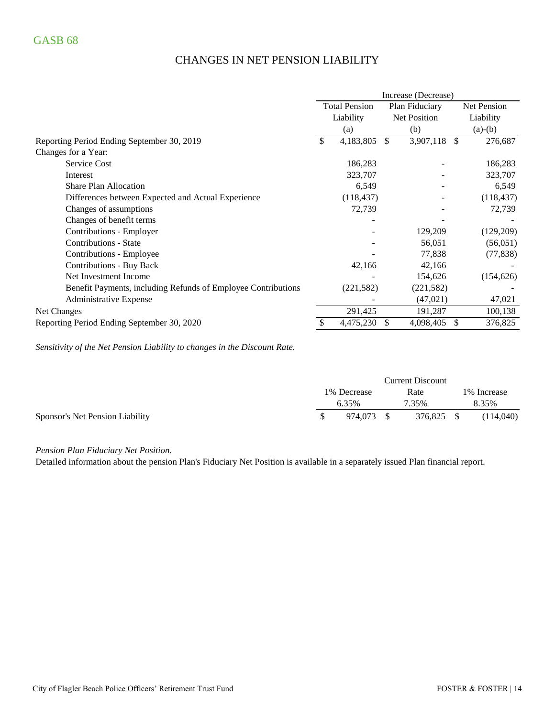# CHANGES IN NET PENSION LIABILITY

|                                                               | Increase (Decrease) |                                        |               |            |               |             |  |
|---------------------------------------------------------------|---------------------|----------------------------------------|---------------|------------|---------------|-------------|--|
|                                                               |                     | <b>Total Pension</b><br>Plan Fiduciary |               |            |               | Net Pension |  |
|                                                               |                     | Liability                              | Net Position  |            |               | Liability   |  |
|                                                               |                     | (a)                                    |               | (b)        |               | $(a)-(b)$   |  |
| Reporting Period Ending September 30, 2019                    | \$                  | 4,183,805                              | <sup>\$</sup> | 3,907,118  | <sup>\$</sup> | 276,687     |  |
| Changes for a Year:                                           |                     |                                        |               |            |               |             |  |
| Service Cost                                                  |                     | 186,283                                |               |            |               | 186,283     |  |
| Interest                                                      |                     | 323,707                                |               |            |               | 323,707     |  |
| <b>Share Plan Allocation</b>                                  |                     | 6,549                                  |               |            |               | 6,549       |  |
| Differences between Expected and Actual Experience            |                     | (118, 437)                             |               |            |               | (118, 437)  |  |
| Changes of assumptions                                        |                     | 72,739                                 |               |            |               | 72,739      |  |
| Changes of benefit terms                                      |                     |                                        |               |            |               |             |  |
| Contributions - Employer                                      |                     |                                        |               | 129,209    |               | (129,209)   |  |
| <b>Contributions - State</b>                                  |                     |                                        |               | 56,051     |               | (56, 051)   |  |
| Contributions - Employee                                      |                     |                                        |               | 77,838     |               | (77, 838)   |  |
| <b>Contributions - Buy Back</b>                               |                     | 42,166                                 |               | 42,166     |               |             |  |
| Net Investment Income                                         |                     |                                        |               | 154,626    |               | (154, 626)  |  |
| Benefit Payments, including Refunds of Employee Contributions |                     | (221, 582)                             |               | (221, 582) |               |             |  |
| Administrative Expense                                        |                     |                                        |               | (47, 021)  |               | 47,021      |  |
| Net Changes                                                   |                     | 291,425                                |               | 191,287    |               | 100,138     |  |
| Reporting Period Ending September 30, 2020                    |                     | 4,475,230                              | \$.           | 4,098,405  | \$.           | 376,825     |  |

*Sensitivity of the Net Pension Liability to changes in the Discount Rate.*

|                                 | <b>Current Discount</b> |            |  |            |  |              |
|---------------------------------|-------------------------|------------|--|------------|--|--------------|
|                                 | 1% Decrease             |            |  | Rate       |  | 1\% Increase |
|                                 |                         | 6.35%      |  | 7.35%      |  | 8.35%        |
| Sponsor's Net Pension Liability |                         | 974.073 \$ |  | 376,825 \$ |  | (114,040)    |

*Pension Plan Fiduciary Net Position.* 

Detailed information about the pension Plan's Fiduciary Net Position is available in a separately issued Plan financial report.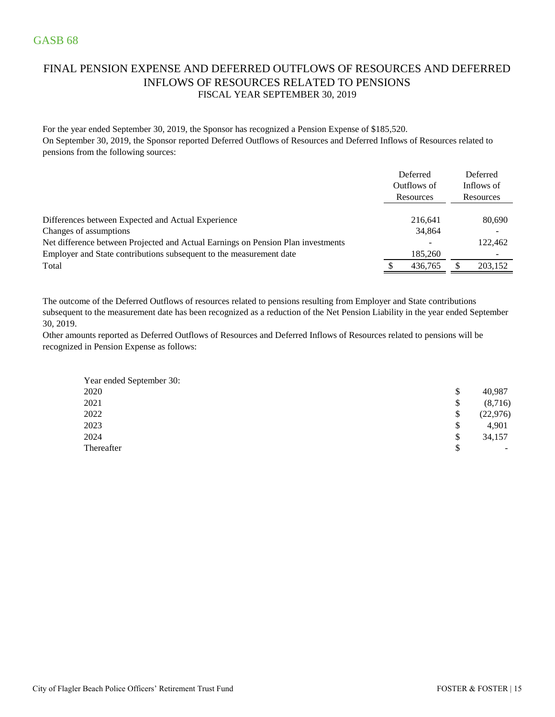# FINAL PENSION EXPENSE AND DEFERRED OUTFLOWS OF RESOURCES AND DEFERRED INFLOWS OF RESOURCES RELATED TO PENSIONS FISCAL YEAR SEPTEMBER 30, 2019

For the year ended September 30, 2019, the Sponsor has recognized a Pension Expense of \$185,520. On September 30, 2019, the Sponsor reported Deferred Outflows of Resources and Deferred Inflows of Resources related to pensions from the following sources:

|                                                                                  | Deferred<br>Outflows of<br>Resources | Deferred<br>Inflows of<br>Resources |
|----------------------------------------------------------------------------------|--------------------------------------|-------------------------------------|
| Differences between Expected and Actual Experience                               | 216,641                              | 80,690                              |
| Changes of assumptions                                                           | 34,864                               |                                     |
| Net difference between Projected and Actual Earnings on Pension Plan investments |                                      | 122.462                             |
| Employer and State contributions subsequent to the measurement date              | 185,260                              |                                     |
| Total                                                                            | 436,765                              | 203,152                             |

The outcome of the Deferred Outflows of resources related to pensions resulting from Employer and State contributions subsequent to the measurement date has been recognized as a reduction of the Net Pension Liability in the year ended September 30, 2019.

Other amounts reported as Deferred Outflows of Resources and Deferred Inflows of Resources related to pensions will be recognized in Pension Expense as follows:

| Year ended September 30: |                                |
|--------------------------|--------------------------------|
| 2020                     | \$<br>40,987                   |
| 2021                     | \$<br>(8,716)                  |
| 2022                     | \$<br>(22, 976)                |
| 2023                     | \$<br>4,901                    |
| 2024                     | \$<br>34,157                   |
| Thereafter               | \$<br>$\overline{\phantom{a}}$ |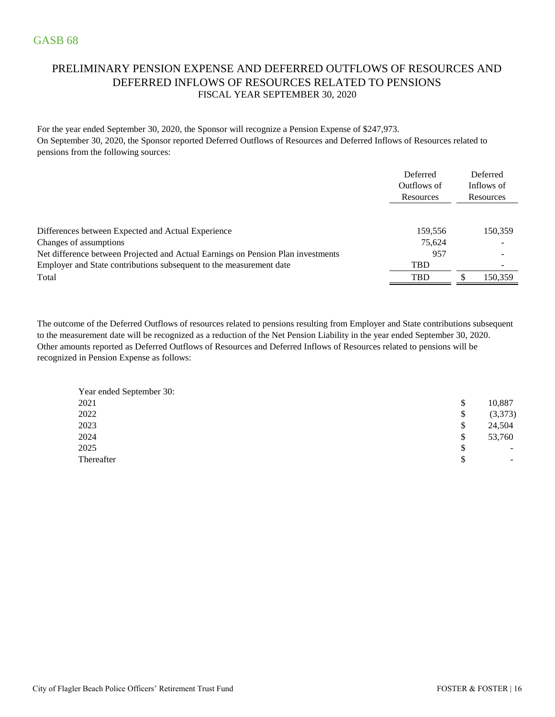# PRELIMINARY PENSION EXPENSE AND DEFERRED OUTFLOWS OF RESOURCES AND DEFERRED INFLOWS OF RESOURCES RELATED TO PENSIONS FISCAL YEAR SEPTEMBER 30, 2020

For the year ended September 30, 2020, the Sponsor will recognize a Pension Expense of \$247,973. On September 30, 2020, the Sponsor reported Deferred Outflows of Resources and Deferred Inflows of Resources related to pensions from the following sources:

|                                                                                  | Deferred    | Deferred                 |
|----------------------------------------------------------------------------------|-------------|--------------------------|
|                                                                                  | Outflows of | Inflows of               |
|                                                                                  | Resources   | Resources                |
|                                                                                  |             |                          |
| Differences between Expected and Actual Experience                               | 159.556     | 150,359                  |
| Changes of assumptions                                                           | 75.624      |                          |
| Net difference between Projected and Actual Earnings on Pension Plan investments | 957         |                          |
| Employer and State contributions subsequent to the measurement date              | <b>TBD</b>  | $\overline{\phantom{0}}$ |
| Total                                                                            | <b>TBD</b>  | 150.359                  |

Other amounts reported as Deferred Outflows of Resources and Deferred Inflows of Resources related to pensions will be recognized in Pension Expense as follows: The outcome of the Deferred Outflows of resources related to pensions resulting from Employer and State contributions subsequent to the measurement date will be recognized as a reduction of the Net Pension Liability in the year ended September 30, 2020.

| \$<br>10,887                   |
|--------------------------------|
| \$<br>(3,373)                  |
| \$<br>24,504                   |
| \$<br>53,760                   |
| \$<br>$\overline{\phantom{a}}$ |
| \$<br>-                        |
|                                |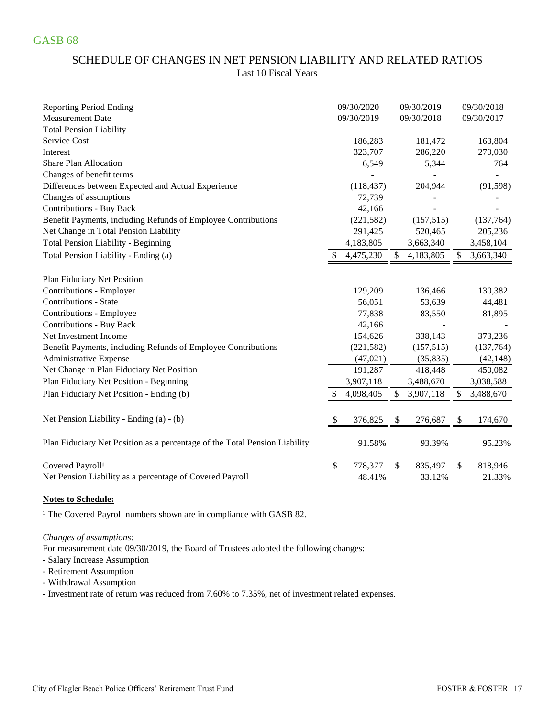# SCHEDULE OF CHANGES IN NET PENSION LIABILITY AND RELATED RATIOS Last 10 Fiscal Years

| <b>Reporting Period Ending</b>                                             | 09/30/2020      |               | 09/30/2019 | 09/30/2018      |
|----------------------------------------------------------------------------|-----------------|---------------|------------|-----------------|
| <b>Measurement Date</b>                                                    | 09/30/2019      |               | 09/30/2018 | 09/30/2017      |
| <b>Total Pension Liability</b>                                             |                 |               |            |                 |
| <b>Service Cost</b>                                                        | 186,283         |               | 181,472    | 163,804         |
| Interest                                                                   | 323,707         |               | 286,220    | 270,030         |
| <b>Share Plan Allocation</b>                                               | 6,549           |               | 5,344      | 764             |
| Changes of benefit terms                                                   |                 |               |            |                 |
| Differences between Expected and Actual Experience                         | (118, 437)      |               | 204,944    | (91, 598)       |
| Changes of assumptions                                                     | 72,739          |               |            |                 |
| <b>Contributions - Buy Back</b>                                            | 42,166          |               |            |                 |
| Benefit Payments, including Refunds of Employee Contributions              | (221, 582)      |               | (157, 515) | (137,764)       |
| Net Change in Total Pension Liability                                      | 291,425         |               | 520,465    | 205,236         |
| Total Pension Liability - Beginning                                        | 4,183,805       |               | 3,663,340  | 3,458,104       |
| Total Pension Liability - Ending (a)                                       | 4,475,230       | $\mathcal{S}$ | 4,183,805  | \$<br>3,663,340 |
| Plan Fiduciary Net Position                                                |                 |               |            |                 |
| Contributions - Employer                                                   | 129,209         |               | 136,466    | 130,382         |
| <b>Contributions - State</b>                                               | 56,051          |               | 53,639     | 44,481          |
| Contributions - Employee                                                   | 77,838          |               | 83,550     | 81,895          |
| <b>Contributions - Buy Back</b>                                            | 42,166          |               |            |                 |
| Net Investment Income                                                      | 154,626         |               | 338,143    | 373,236         |
| Benefit Payments, including Refunds of Employee Contributions              | (221, 582)      |               | (157, 515) | (137,764)       |
| Administrative Expense                                                     | (47, 021)       |               | (35, 835)  | (42, 148)       |
| Net Change in Plan Fiduciary Net Position                                  | 191,287         |               | 418,448    | 450,082         |
| Plan Fiduciary Net Position - Beginning                                    | 3,907,118       |               | 3,488,670  | 3,038,588       |
| Plan Fiduciary Net Position - Ending (b)                                   | \$<br>4,098,405 | \$            | 3,907,118  | \$<br>3,488,670 |
| Net Pension Liability - Ending (a) - (b)                                   | \$<br>376,825   | \$            | 276,687    | \$<br>174,670   |
| Plan Fiduciary Net Position as a percentage of the Total Pension Liability | 91.58%          |               | 93.39%     | 95.23%          |
| Covered Payroll <sup>1</sup>                                               | \$<br>778,377   | \$            | 835,497    | \$<br>818,946   |
| Net Pension Liability as a percentage of Covered Payroll                   | 48.41%          |               | 33.12%     | 21.33%          |

### **Notes to Schedule:**

<sup>1</sup> The Covered Payroll numbers shown are in compliance with GASB 82.

#### *Changes of assumptions:*

For measurement date 09/30/2019, the Board of Trustees adopted the following changes:

- Salary Increase Assumption

- Retirement Assumption
- Withdrawal Assumption
- Investment rate of return was reduced from 7.60% to 7.35%, net of investment related expenses.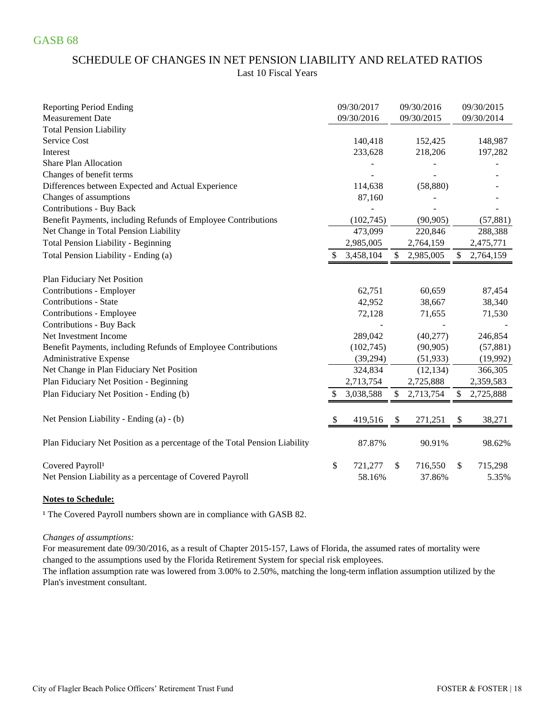# SCHEDULE OF CHANGES IN NET PENSION LIABILITY AND RELATED RATIOS Last 10 Fiscal Years

| <b>Reporting Period Ending</b>                                             |    | 09/30/2017 | 09/30/2016      |              | 09/30/2015 |
|----------------------------------------------------------------------------|----|------------|-----------------|--------------|------------|
| <b>Measurement Date</b>                                                    |    | 09/30/2016 | 09/30/2015      |              | 09/30/2014 |
| <b>Total Pension Liability</b>                                             |    |            |                 |              |            |
| Service Cost                                                               |    | 140,418    | 152,425         |              | 148,987    |
| Interest                                                                   |    | 233,628    | 218,206         |              | 197,282    |
| <b>Share Plan Allocation</b>                                               |    |            |                 |              |            |
| Changes of benefit terms                                                   |    |            |                 |              |            |
| Differences between Expected and Actual Experience                         |    | 114,638    | (58, 880)       |              |            |
| Changes of assumptions                                                     |    | 87,160     |                 |              |            |
| <b>Contributions - Buy Back</b>                                            |    |            |                 |              |            |
| Benefit Payments, including Refunds of Employee Contributions              |    | (102, 745) | (90, 905)       |              | (57, 881)  |
| Net Change in Total Pension Liability                                      |    | 473,099    | 220,846         |              | 288,388    |
| <b>Total Pension Liability - Beginning</b>                                 |    | 2,985,005  | 2,764,159       |              | 2,475,771  |
| Total Pension Liability - Ending (a)                                       |    | 3,458,104  | \$<br>2,985,005 | $\mathbb{S}$ | 2,764,159  |
| Plan Fiduciary Net Position                                                |    |            |                 |              |            |
| Contributions - Employer                                                   |    | 62,751     | 60,659          |              | 87,454     |
| <b>Contributions - State</b>                                               |    | 42,952     | 38,667          |              | 38,340     |
| Contributions - Employee                                                   |    | 72,128     | 71,655          |              | 71,530     |
| <b>Contributions - Buy Back</b>                                            |    |            |                 |              |            |
| Net Investment Income                                                      |    | 289,042    | (40, 277)       |              | 246,854    |
| Benefit Payments, including Refunds of Employee Contributions              |    | (102,745)  | (90, 905)       |              | (57, 881)  |
| Administrative Expense                                                     |    | (39, 294)  | (51, 933)       |              | (19,992)   |
| Net Change in Plan Fiduciary Net Position                                  |    | 324,834    | (12, 134)       |              | 366,305    |
| Plan Fiduciary Net Position - Beginning                                    |    | 2,713,754  | 2,725,888       |              | 2,359,583  |
| Plan Fiduciary Net Position - Ending (b)                                   | S  | 3,038,588  | \$<br>2,713,754 | \$           | 2,725,888  |
|                                                                            |    |            |                 |              |            |
| Net Pension Liability - Ending (a) - (b)                                   | S  | 419,516    | \$<br>271,251   | \$           | 38,271     |
| Plan Fiduciary Net Position as a percentage of the Total Pension Liability |    | 87.87%     | 90.91%          |              | 98.62%     |
| Covered Payroll <sup>1</sup>                                               | \$ | 721,277    | \$<br>716,550   | \$           | 715,298    |
| Net Pension Liability as a percentage of Covered Payroll                   |    | 58.16%     | 37.86%          |              | 5.35%      |

### **Notes to Schedule:**

<sup>1</sup> The Covered Payroll numbers shown are in compliance with GASB 82.

### *Changes of assumptions:*

For measurement date 09/30/2016, as a result of Chapter 2015-157, Laws of Florida, the assumed rates of mortality were changed to the assumptions used by the Florida Retirement System for special risk employees.

The inflation assumption rate was lowered from 3.00% to 2.50%, matching the long-term inflation assumption utilized by the Plan's investment consultant.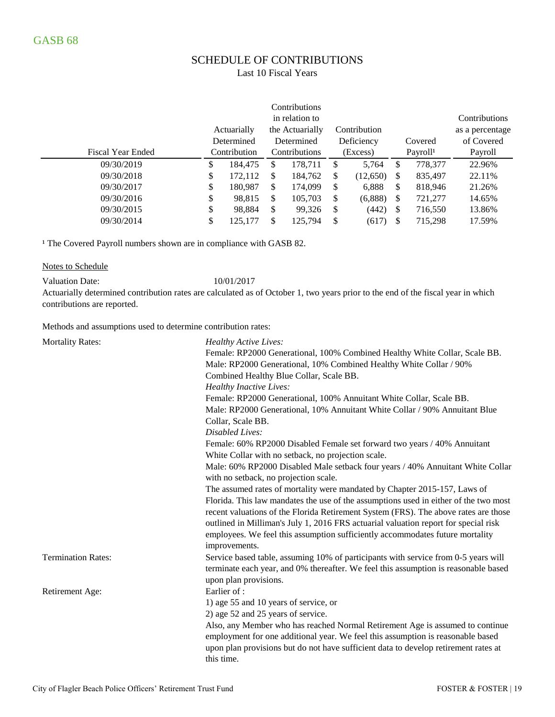# SCHEDULE OF CONTRIBUTIONS

Last 10 Fiscal Years

|                          |    |              |     | in relation to  |               |              |    |                      | Contributions   |
|--------------------------|----|--------------|-----|-----------------|---------------|--------------|----|----------------------|-----------------|
|                          |    | Actuarially  |     | the Actuarially |               | Contribution |    |                      | as a percentage |
|                          |    | Determined   |     | Determined      |               | Deficiency   |    | Covered              | of Covered      |
| <b>Fiscal Year Ended</b> |    | Contribution |     | Contributions   |               | (Excess)     |    | Payroll <sup>1</sup> | Payroll         |
| 09/30/2019               | \$ | 184,475<br>S |     | 178.711         | S             | 5,764        | S  | 778,377              | 22.96%          |
| 09/30/2018               | \$ | 172,112      | S   | 184,762         | S             | (12,650)     | \$ | 835,497              | 22.11%          |
| 09/30/2017               | \$ | 180,987      | S   | 174,099         | \$            | 6,888        | \$ | 818,946              | 21.26%          |
| 09/30/2016               | \$ | 98,815       | S   | 105,703         | S             | (6,888)      | S  | 721,277              | 14.65%          |
| 09/30/2015               | \$ | 98,884       | S   | 99,326          | <sup>\$</sup> | (442)        | S  | 716,550              | 13.86%          |
| 09/30/2014               | \$ | 125.177      | \$. | 125,794         | S             | (617)        | S  | 715,298              | 17.59%          |

<sup>1</sup> The Covered Payroll numbers shown are in compliance with GASB 82.

#### Notes to Schedule

Valuation Date: 10/01/2017

Actuarially determined contribution rates are calculated as of October 1, two years prior to the end of the fiscal year in which contributions are reported.

Methods and assumptions used to determine contribution rates:

| <b>Mortality Rates:</b>   | Healthy Active Lives:                                                                |
|---------------------------|--------------------------------------------------------------------------------------|
|                           | Female: RP2000 Generational, 100% Combined Healthy White Collar, Scale BB.           |
|                           | Male: RP2000 Generational, 10% Combined Healthy White Collar / 90%                   |
|                           | Combined Healthy Blue Collar, Scale BB.                                              |
|                           | <b>Healthy Inactive Lives:</b>                                                       |
|                           | Female: RP2000 Generational, 100% Annuitant White Collar, Scale BB.                  |
|                           | Male: RP2000 Generational, 10% Annuitant White Collar / 90% Annuitant Blue           |
|                           | Collar, Scale BB.                                                                    |
|                           | Disabled Lives:                                                                      |
|                           | Female: 60% RP2000 Disabled Female set forward two years / 40% Annuitant             |
|                           | White Collar with no setback, no projection scale.                                   |
|                           | Male: 60% RP2000 Disabled Male setback four years / 40% Annuitant White Collar       |
|                           | with no setback, no projection scale.                                                |
|                           | The assumed rates of mortality were mandated by Chapter 2015-157, Laws of            |
|                           | Florida. This law mandates the use of the assumptions used in either of the two most |
|                           | recent valuations of the Florida Retirement System (FRS). The above rates are those  |
|                           | outlined in Milliman's July 1, 2016 FRS actuarial valuation report for special risk  |
|                           | employees. We feel this assumption sufficiently accommodates future mortality        |
|                           | improvements.                                                                        |
| <b>Termination Rates:</b> | Service based table, assuming 10% of participants with service from 0-5 years will   |
|                           | terminate each year, and 0% thereafter. We feel this assumption is reasonable based  |
|                           | upon plan provisions.                                                                |
| Retirement Age:           | Earlier of:                                                                          |
|                           | 1) age 55 and 10 years of service, or                                                |
|                           | 2) age 52 and 25 years of service.                                                   |
|                           | Also, any Member who has reached Normal Retirement Age is assumed to continue        |
|                           | employment for one additional year. We feel this assumption is reasonable based      |
|                           | upon plan provisions but do not have sufficient data to develop retirement rates at  |
|                           | this time.                                                                           |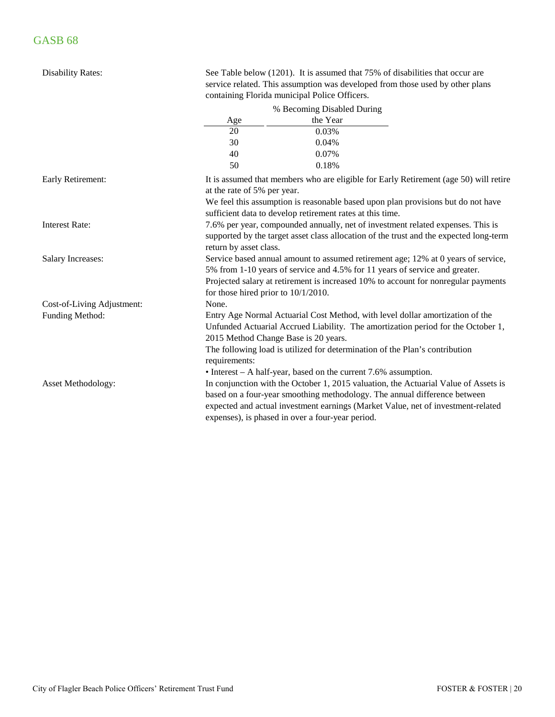| <b>Disability Rates:</b>   |                                        | See Table below (1201). It is assumed that 75% of disabilities that occur are<br>service related. This assumption was developed from those used by other plans<br>containing Florida municipal Police Officers.                                                                                          |  |  |  |  |  |  |  |  |  |  |  |
|----------------------------|----------------------------------------|----------------------------------------------------------------------------------------------------------------------------------------------------------------------------------------------------------------------------------------------------------------------------------------------------------|--|--|--|--|--|--|--|--|--|--|--|
|                            |                                        | % Becoming Disabled During                                                                                                                                                                                                                                                                               |  |  |  |  |  |  |  |  |  |  |  |
|                            | Age                                    | the Year                                                                                                                                                                                                                                                                                                 |  |  |  |  |  |  |  |  |  |  |  |
|                            | 20                                     | 0.03%                                                                                                                                                                                                                                                                                                    |  |  |  |  |  |  |  |  |  |  |  |
|                            | 30                                     | 0.04%                                                                                                                                                                                                                                                                                                    |  |  |  |  |  |  |  |  |  |  |  |
|                            | 40                                     | 0.07%                                                                                                                                                                                                                                                                                                    |  |  |  |  |  |  |  |  |  |  |  |
|                            | 50                                     | 0.18%                                                                                                                                                                                                                                                                                                    |  |  |  |  |  |  |  |  |  |  |  |
| Early Retirement:          |                                        | It is assumed that members who are eligible for Early Retirement (age 50) will retire<br>at the rate of 5% per year.<br>We feel this assumption is reasonable based upon plan provisions but do not have<br>sufficient data to develop retirement rates at this time.                                    |  |  |  |  |  |  |  |  |  |  |  |
| <b>Interest Rate:</b>      | return by asset class.                 | 7.6% per year, compounded annually, net of investment related expenses. This is<br>supported by the target asset class allocation of the trust and the expected long-term                                                                                                                                |  |  |  |  |  |  |  |  |  |  |  |
| <b>Salary Increases:</b>   | for those hired prior to $10/1/2010$ . | Service based annual amount to assumed retirement age; 12% at 0 years of service,<br>5% from 1-10 years of service and 4.5% for 11 years of service and greater.<br>Projected salary at retirement is increased 10% to account for nonregular payments                                                   |  |  |  |  |  |  |  |  |  |  |  |
| Cost-of-Living Adjustment: | None.                                  |                                                                                                                                                                                                                                                                                                          |  |  |  |  |  |  |  |  |  |  |  |
| Funding Method:            | 2015 Method Change Base is 20 years.   | Entry Age Normal Actuarial Cost Method, with level dollar amortization of the<br>Unfunded Actuarial Accrued Liability. The amortization period for the October 1,                                                                                                                                        |  |  |  |  |  |  |  |  |  |  |  |
|                            | requirements:                          | The following load is utilized for determination of the Plan's contribution<br>$\bullet$ Interest – A half-year, based on the current 7.6% assumption.                                                                                                                                                   |  |  |  |  |  |  |  |  |  |  |  |
| Asset Methodology:         |                                        | In conjunction with the October 1, 2015 valuation, the Actuarial Value of Assets is<br>based on a four-year smoothing methodology. The annual difference between<br>expected and actual investment earnings (Market Value, net of investment-related<br>expenses), is phased in over a four-year period. |  |  |  |  |  |  |  |  |  |  |  |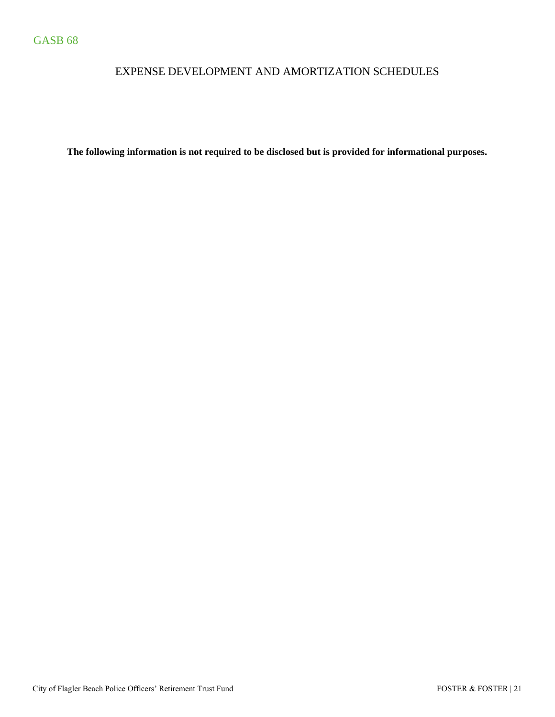# EXPENSE DEVELOPMENT AND AMORTIZATION SCHEDULES

**The following information is not required to be disclosed but is provided for informational purposes.**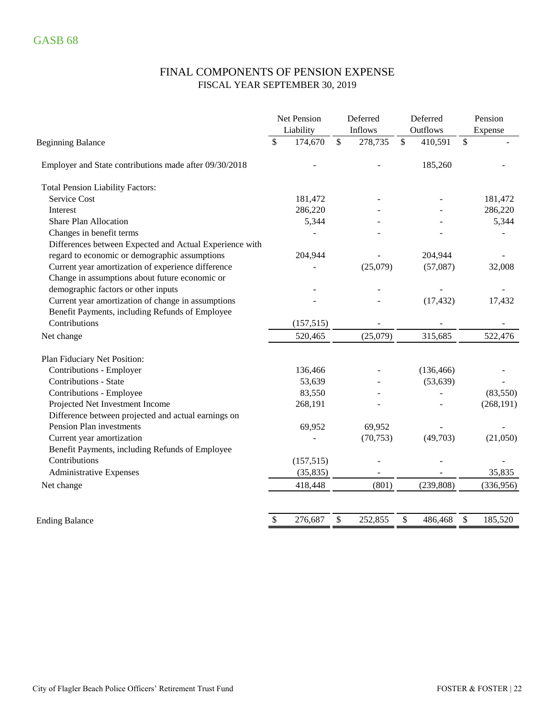# FINAL COMPONENTS OF PENSION EXPENSE FISCAL YEAR SEPTEMBER 30, 2019

|                                                         | Net Pension<br>Liability |            | Deferred<br>Inflows | Deferred<br>Outflows | Pension<br>Expense |  |  |  |
|---------------------------------------------------------|--------------------------|------------|---------------------|----------------------|--------------------|--|--|--|
| <b>Beginning Balance</b>                                | \$                       | 174,670    | \$<br>278,735       | \$<br>410,591        | \$                 |  |  |  |
| Employer and State contributions made after 09/30/2018  |                          |            |                     | 185,260              |                    |  |  |  |
| <b>Total Pension Liability Factors:</b>                 |                          |            |                     |                      |                    |  |  |  |
| Service Cost                                            |                          | 181,472    |                     |                      | 181,472            |  |  |  |
| Interest                                                |                          | 286,220    |                     |                      | 286,220            |  |  |  |
| <b>Share Plan Allocation</b>                            |                          | 5,344      |                     |                      | 5,344              |  |  |  |
| Changes in benefit terms                                |                          |            |                     |                      |                    |  |  |  |
| Differences between Expected and Actual Experience with |                          |            |                     |                      |                    |  |  |  |
| regard to economic or demographic assumptions           |                          | 204,944    |                     | 204,944              |                    |  |  |  |
| Current year amortization of experience difference      |                          |            | (25,079)            | (57,087)             | 32,008             |  |  |  |
| Change in assumptions about future economic or          |                          |            |                     |                      |                    |  |  |  |
| demographic factors or other inputs                     |                          |            |                     |                      |                    |  |  |  |
| Current year amortization of change in assumptions      |                          |            |                     | (17, 432)            | 17,432             |  |  |  |
| Benefit Payments, including Refunds of Employee         |                          |            |                     |                      |                    |  |  |  |
| Contributions                                           |                          | (157, 515) |                     |                      |                    |  |  |  |
| Net change                                              |                          | 520,465    | (25,079)            | 315,685              | 522,476            |  |  |  |
| Plan Fiduciary Net Position:                            |                          |            |                     |                      |                    |  |  |  |
| Contributions - Employer                                |                          | 136,466    |                     | (136, 466)           |                    |  |  |  |
| Contributions - State                                   |                          | 53,639     |                     | (53, 639)            |                    |  |  |  |
| Contributions - Employee                                |                          | 83,550     |                     |                      | (83,550)           |  |  |  |
| Projected Net Investment Income                         |                          | 268,191    |                     |                      | (268, 191)         |  |  |  |
| Difference between projected and actual earnings on     |                          |            |                     |                      |                    |  |  |  |
| Pension Plan investments                                |                          | 69,952     | 69,952              |                      |                    |  |  |  |
| Current year amortization                               |                          |            | (70, 753)           | (49,703)             | (21,050)           |  |  |  |
| Benefit Payments, including Refunds of Employee         |                          |            |                     |                      |                    |  |  |  |
| Contributions                                           |                          | (157, 515) |                     |                      |                    |  |  |  |
| <b>Administrative Expenses</b>                          |                          | (35, 835)  |                     |                      | 35,835             |  |  |  |
| Net change                                              |                          | 418,448    | (801)               | (239, 808)           | (336,956)          |  |  |  |
|                                                         |                          |            |                     |                      |                    |  |  |  |
| <b>Ending Balance</b>                                   | \$                       | 276,687    | \$<br>252,855       | \$<br>486,468        | \$<br>185,520      |  |  |  |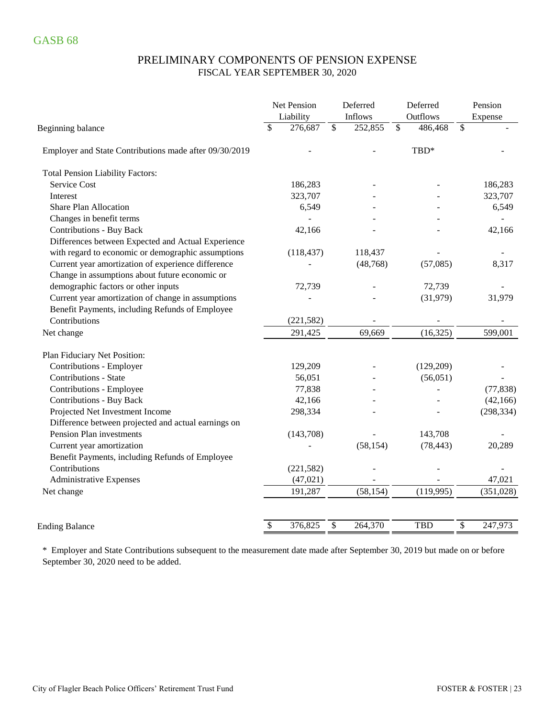### PRELIMINARY COMPONENTS OF PENSION EXPENSE FISCAL YEAR SEPTEMBER 30, 2020

|                                                        | Net Pension<br>Liability |                 | Deferred<br>Inflows | Deferred<br>Outflows | Pension<br>Expense |
|--------------------------------------------------------|--------------------------|-----------------|---------------------|----------------------|--------------------|
| Beginning balance                                      | \$<br>276,687            | $\overline{\$}$ | 252,855             | \$<br>486,468        | \$                 |
| Employer and State Contributions made after 09/30/2019 |                          |                 |                     | TBD*                 |                    |
| <b>Total Pension Liability Factors:</b>                |                          |                 |                     |                      |                    |
| Service Cost                                           | 186,283                  |                 |                     |                      | 186,283            |
| Interest                                               | 323,707                  |                 |                     |                      | 323,707            |
| <b>Share Plan Allocation</b>                           | 6,549                    |                 |                     |                      | 6,549              |
| Changes in benefit terms                               |                          |                 |                     |                      |                    |
| <b>Contributions - Buy Back</b>                        | 42,166                   |                 |                     |                      | 42,166             |
| Differences between Expected and Actual Experience     |                          |                 |                     |                      |                    |
| with regard to economic or demographic assumptions     | (118, 437)               |                 | 118,437             |                      |                    |
| Current year amortization of experience difference     |                          |                 | (48, 768)           | (57,085)             | 8,317              |
| Change in assumptions about future economic or         |                          |                 |                     |                      |                    |
| demographic factors or other inputs                    | 72,739                   |                 |                     | 72,739               |                    |
| Current year amortization of change in assumptions     |                          |                 |                     | (31,979)             | 31,979             |
| Benefit Payments, including Refunds of Employee        |                          |                 |                     |                      |                    |
| Contributions                                          | (221, 582)               |                 |                     |                      |                    |
| Net change                                             | 291,425                  |                 | 69,669              | (16, 325)            | 599,001            |
| Plan Fiduciary Net Position:                           |                          |                 |                     |                      |                    |
| Contributions - Employer                               | 129,209                  |                 |                     | (129,209)            |                    |
| Contributions - State                                  | 56,051                   |                 |                     | (56,051)             |                    |
| Contributions - Employee                               | 77,838                   |                 |                     |                      | (77, 838)          |
| <b>Contributions - Buy Back</b>                        | 42,166                   |                 |                     |                      | (42, 166)          |
| Projected Net Investment Income                        | 298,334                  |                 |                     |                      | (298, 334)         |
| Difference between projected and actual earnings on    |                          |                 |                     |                      |                    |
| Pension Plan investments                               | (143,708)                |                 |                     | 143,708              |                    |
| Current year amortization                              |                          |                 | (58, 154)           | (78, 443)            | 20,289             |
| Benefit Payments, including Refunds of Employee        |                          |                 |                     |                      |                    |
| Contributions                                          | (221, 582)               |                 |                     |                      |                    |
| <b>Administrative Expenses</b>                         | (47, 021)                |                 |                     |                      | 47,021             |
| Net change                                             | 191,287                  |                 | (58, 154)           | (119,995)            | (351, 028)         |
|                                                        |                          |                 |                     |                      |                    |
| <b>Ending Balance</b>                                  | \$<br>376,825            | \$              | 264,370             | <b>TBD</b>           | \$<br>247,973      |

\* Employer and State Contributions subsequent to the measurement date made after September 30, 2019 but made on or before September 30, 2020 need to be added.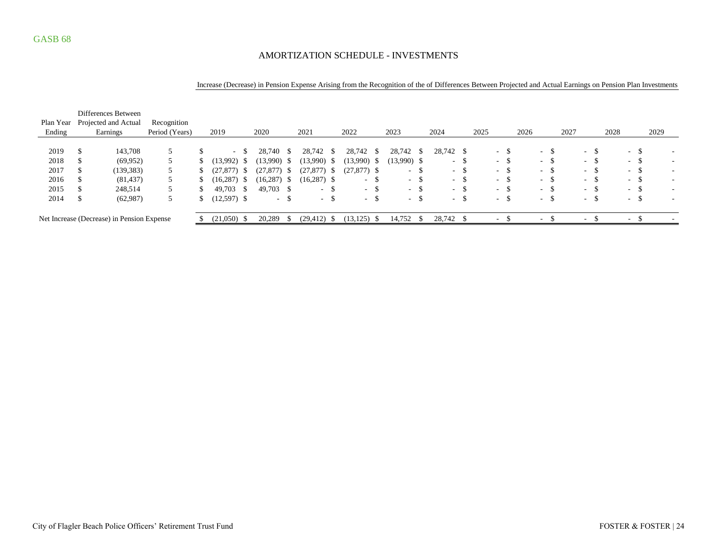### AMORTIZATION SCHEDULE - INVESTMENTS

#### Increase (Decrease) in Pension Expense Arising from the Recognition of the of Differences Between Projected and Actual Earnings on Pension Plan Investments

|           |   | Differences Between                        |                |               |      |                 |                |               |                |      |                  |      |                  |      |               |      |                  |                      |                |      |            |               |      |                          |
|-----------|---|--------------------------------------------|----------------|---------------|------|-----------------|----------------|---------------|----------------|------|------------------|------|------------------|------|---------------|------|------------------|----------------------|----------------|------|------------|---------------|------|--------------------------|
| Plan Year |   | Projected and Actual                       | Recognition    |               |      |                 |                |               |                |      |                  |      |                  |      |               |      |                  |                      |                |      |            |               |      |                          |
| Ending    |   | Earnings                                   | Period (Years) | 2019          |      | 2020            | 2021           |               | 2022           |      | 2023             |      | 2024             |      | 2025          | 2026 |                  | 2027                 |                | 2028 |            |               | 2029 |                          |
|           |   |                                            |                |               |      |                 |                |               |                |      |                  |      |                  |      |               |      |                  |                      |                |      |            |               |      |                          |
| 2019      |   | 143,708                                    |                |               | - \$ | 28,740<br>- S   | 28,742         | - \$          | 28,742         | - \$ | 28,742           | - \$ | 28,742 \$        |      | $-$ \$        |      | $\sim$ 100 $\mu$ | -S                   | - 75<br>$\sim$ |      | $\sim$     | -\$           |      |                          |
| 2018      |   | (69, 952)                                  |                | (13,992)      | - 25 | (13,990)<br>- 5 | (13,990)       | - \$          | $(13,990)$ \$  |      | $(13,990)$ \$    |      | $\sim$           | -S   | $-$ \$        |      | $\sim$           | -S<br>$\sim$         | - 35           |      | $\sim$ $-$ | -S            |      | $\overline{\phantom{a}}$ |
| 2017      |   | (139, 383)                                 |                | (27, 877)     | - 5  | (27, 877)<br>-S | $(27,877)$ \$  |               | $(27,877)$ \$  |      | $\sim$           | - 33 | $\sim$           | -S   | $-$ \$        |      | $\sim$           | <sup>\$</sup><br>. . | - 35           |      | $\sim$     | -S            |      | $\overline{\phantom{a}}$ |
| 2016      |   | (81, 437)                                  |                | (16, 287)     | - S  | (16, 287)<br>-S | $(16,287)$ \$  |               | $\sim$         | . ა  | $\sim$           | .ა   | $\sim$           | - \$ | $-$ \$        |      | $\sim$           | -\$<br>$\sim$        | - 75           |      | $\sim$     | <sup>\$</sup> |      |                          |
| 2015      |   | 248,514                                    |                | 49,703        | -S   | $49,703$ \$     |                | -\$<br>$\sim$ |                | - ക  | $\sim$ 100 $\mu$ | - 75 | $\sim$ 100 $\mu$ | - \$ | $-$ \$        |      | $-$ \$           | $\sim$               | $\mathcal{S}$  |      | $\sim$     | -S            |      |                          |
| 2014      | S | (62,987)                                   |                | $(12,597)$ \$ |      | $-$ \$          |                | $-$ \$        |                | - ა  | $\sim$ 100 $\mu$ | .ა   | $\sim$ 10 $\pm$  | -S   | $-$ \$        |      | $- S$            | $\sim$ 100 $\mu$     | - 35           |      | $\sim$     | <sup>\$</sup> |      |                          |
|           |   | Net Increase (Decrease) in Pension Expense |                | (21,050)      | - 85 | 20,289<br>-S    | $(29, 412)$ \$ |               | $(13, 125)$ \$ |      | 14,752           |      | 28,742 \$        |      | <u>. на п</u> |      | $\sim$           | $\sim$               |                |      | $\sim$     |               |      |                          |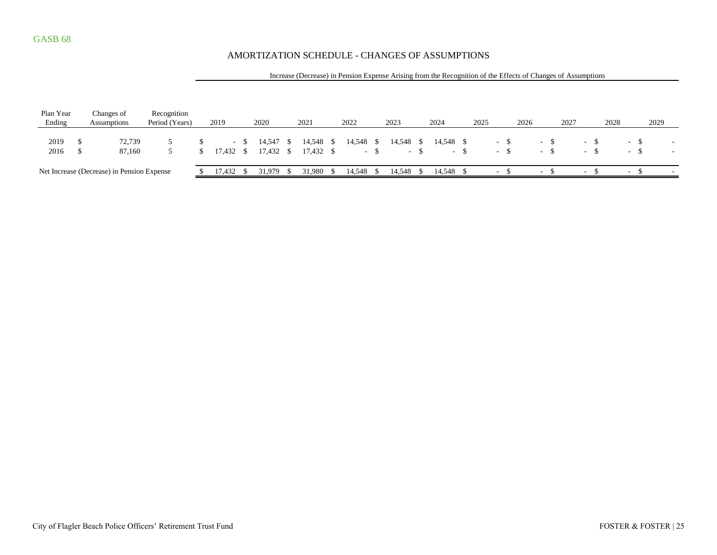### AMORTIZATION SCHEDULE - CHANGES OF ASSUMPTIONS

#### Increase (Decrease) in Pension Expense Arising from the Recognition of the Effects of Changes of Assumptions

| Plan Year<br>Ending | Changes of<br>Assumptions                  | Recognition<br>Period (Years) | 2019      |      | 2020                   |    | 2021                  |     | 2022      |        | 2023      |        | 2024      |        | 2025                     | 2026 |            | 2027 |        | 2028 |        | 2029 |  |
|---------------------|--------------------------------------------|-------------------------------|-----------|------|------------------------|----|-----------------------|-----|-----------|--------|-----------|--------|-----------|--------|--------------------------|------|------------|------|--------|------|--------|------|--|
| 2019<br>2016        | 72,739<br>87.160                           |                               | 17,432 \$ | $-5$ | 14,547 \$<br>17,432 \$ |    | 14,548<br>$17,432$ \$ | - S | 14.548 \$ | $-$ \$ | 14,548 \$ | $-$ \$ | 14.548 \$ | $-$ \$ | $\sim$<br>$\sim$         |      | - ക<br>$-$ |      | $\sim$ |      | - 3    |      |  |
|                     | Net Increase (Decrease) in Pension Expense |                               | 17.432    |      | 31,979                 | -8 | 31.980                |     | 14.548 \$ |        | 14.548 \$ |        | 14,548 \$ |        | $\overline{\phantom{0}}$ |      | $\sim$     |      | $-$    |      | $\sim$ |      |  |